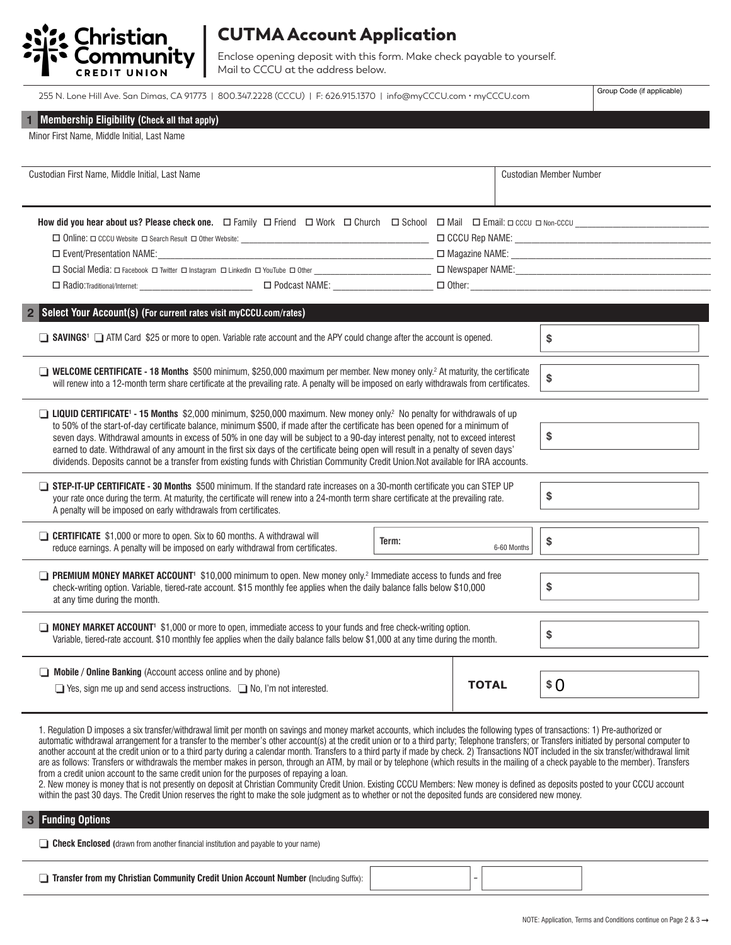

## CUTMA Account Application

Enclose opening deposit with this form. Make check payable to yourself. Mail to CCCU at the address below.

Group Code (if applicable)

|  |  |  | Membership Eligibility (Check all that apply) |  |
|--|--|--|-----------------------------------------------|--|
|--|--|--|-----------------------------------------------|--|

| Minor First Name, Middle Initial, Last Name |  |
|---------------------------------------------|--|
|---------------------------------------------|--|

| Custodian First Name, Middle Initial, Last Name                                                                                                                                                                                                                                                                                                                                                                                                                                                                                                                                                                                                                                            |    |       | Custodian Member Number |  |
|--------------------------------------------------------------------------------------------------------------------------------------------------------------------------------------------------------------------------------------------------------------------------------------------------------------------------------------------------------------------------------------------------------------------------------------------------------------------------------------------------------------------------------------------------------------------------------------------------------------------------------------------------------------------------------------------|----|-------|-------------------------|--|
| How did you hear about us? Please check one.<br>$\square$ Friend $\square$ Ohuch $\square$ Mail $\square$ Email: $\square$ Corol $\square$ Mail $\square$ Email: $\square$ Corol $\square$ Mon-CCCU<br>□ Event/Presentation NAME:<br>$\Box$ Radio:Traditional/Internet: $\Box$ Podcast NAME: $\Box$ Decrees and the contract of the contract of the contract of the contract of the contract of the contract of the contract of the contract of the contract of the cont                                                                                                                                                                                                                   |    |       |                         |  |
| Select Your Account(s) (For current rates visit myCCCU.com/rates)<br>$\overline{2}$                                                                                                                                                                                                                                                                                                                                                                                                                                                                                                                                                                                                        |    |       |                         |  |
| □ SAVINGS <sup>1</sup> □ ATM Card \$25 or more to open. Variable rate account and the APY could change after the account is opened.                                                                                                                                                                                                                                                                                                                                                                                                                                                                                                                                                        |    |       | \$                      |  |
| <b>U WELCOME CERTIFICATE - 18 Months</b> \$500 minimum, \$250,000 maximum per member. New money only. <sup>2</sup> At maturity, the certificate<br>will renew into a 12-month term share certificate at the prevailing rate. A penalty will be imposed on early withdrawals from certificates.                                                                                                                                                                                                                                                                                                                                                                                             | \$ |       |                         |  |
| □ LIQUID CERTIFICATE <sup>1</sup> - 15 Months \$2,000 minimum, \$250,000 maximum. New money only? No penalty for withdrawals of up<br>to 50% of the start-of-day certificate balance, minimum \$500, if made after the certificate has been opened for a minimum of<br>\$<br>seven days. Withdrawal amounts in excess of 50% in one day will be subject to a 90-day interest penalty, not to exceed interest<br>earned to date. Withdrawal of any amount in the first six days of the certificate being open will result in a penalty of seven days'<br>dividends. Deposits cannot be a transfer from existing funds with Christian Community Credit Union.Not available for IRA accounts. |    |       |                         |  |
| STEP-IT-UP CERTIFICATE - 30 Months \$500 minimum. If the standard rate increases on a 30-month certificate you can STEP UP<br>your rate once during the term. At maturity, the certificate will renew into a 24-month term share certificate at the prevailing rate.<br>A penalty will be imposed on early withdrawals from certificates.                                                                                                                                                                                                                                                                                                                                                  |    |       | \$                      |  |
| <b>CERTIFICATE</b> \$1,000 or more to open. Six to 60 months. A withdrawal will<br>Term:<br>reduce earnings. A penalty will be imposed on early withdrawal from certificates.<br>6-60 Months                                                                                                                                                                                                                                                                                                                                                                                                                                                                                               |    |       | \$                      |  |
| <b>PREMIUM MONEY MARKET ACCOUNT'</b> \$10,000 minimum to open. New money only. <sup>2</sup> Immediate access to funds and free<br>\$<br>check-writing option. Variable, tiered-rate account. \$15 monthly fee applies when the daily balance falls below \$10,000<br>at any time during the month.                                                                                                                                                                                                                                                                                                                                                                                         |    |       |                         |  |
| <b>IMONEY MARKET ACCOUNT<sup>1</sup></b> \$1,000 or more to open, immediate access to your funds and free check-writing option.<br>Variable, tiered-rate account. \$10 monthly fee applies when the daily balance falls below \$1,000 at any time during the month.                                                                                                                                                                                                                                                                                                                                                                                                                        |    |       | \$                      |  |
| $\Box$ Mobile / Online Banking (Account access online and by phone)<br>$\Box$ Yes, sign me up and send access instructions. $\Box$ No, I'm not interested.                                                                                                                                                                                                                                                                                                                                                                                                                                                                                                                                 |    | TOTAL | \$ 0                    |  |

1. Regulation D imposes a six transfer/withdrawal limit per month on savings and money market accounts, which includes the following types of transactions: 1) Pre-authorized or automatic withdrawal arrangement for a transfer to the member's other account(s) at the credit union or to a third party; Telephone transfers; or Transfers initiated by personal computer to another account at the credit union or to a third party during a calendar month. Transfers to a third party if made by check. 2) Transactions NOT included in the six transfer/withdrawal limit are as follows: Transfers or withdrawals the member makes in person, through an ATM, by mail or by telephone (which results in the mailing of a check payable to the member). Transfers from a credit union account to the same credit union for the purposes of repaying a loan.

2. New money is money that is not presently on deposit at Christian Community Credit Union. Existing CCCU Members: New money is defined as deposits posted to your CCCU account within the past 30 days. The Credit Union reserves the right to make the sole judgment as to whether or not the deposited funds are considered new money.

### **33 Funding Options**

| <b><i>"</i></b> Union<br>Community L<br>Credit)<br>and Account Number (1993).<br>Christian<br>Trom. |  |  |  |  |
|-----------------------------------------------------------------------------------------------------|--|--|--|--|
|-----------------------------------------------------------------------------------------------------|--|--|--|--|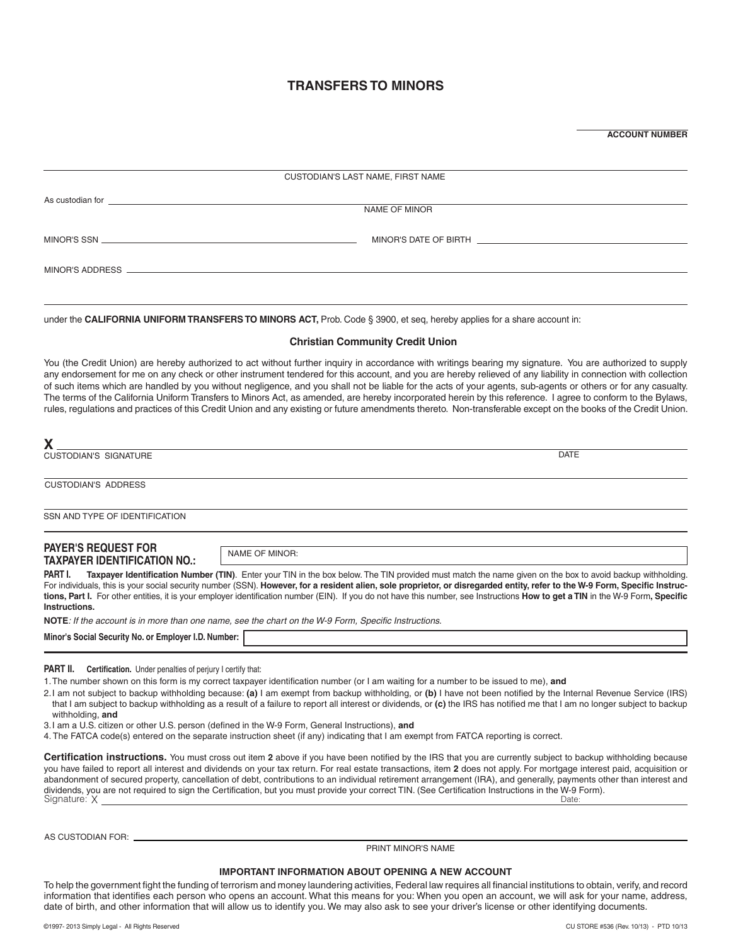### **TRANSFERS TO MINORS**

**ACCOUNT NUMBER**

| CUSTODIAN'S LAST NAME, FIRST NAME                                                                                                                                                                                                    |  |
|--------------------------------------------------------------------------------------------------------------------------------------------------------------------------------------------------------------------------------------|--|
| As custodian for <u>experimental and the control of the control of the control of the control of the control of the control of the control of the control of the control of the control of the control of the control of the con</u> |  |
| NAME OF MINOR                                                                                                                                                                                                                        |  |
| MINOR'S DATE OF BIRTH NORTH THE STATE OF BIRTH                                                                                                                                                                                       |  |
| MINOR'S ADDRESS AND ALL CONTROL CONTROL CONTROL CONTROL CONTROL CONTROL CONTROL CONTROL CONTROL CONTROL CONTROL CONTROL CONTROL CONTROL CONTROL CONTROL CONTROL CONTROL CONTROL CONTROL CONTROL CONTROL CONTROL CONTROL CONTRO       |  |

under the **CALIFORNIA UNIFORM TRANSFERS TO MINORS ACT,** Prob. Code § 3900, et seq, hereby applies for a share account in:

#### **Christian Community Credit Union**

You (the Credit Union) are hereby authorized to act without further inquiry in accordance with writings bearing my signature. You are authorized to supply any endorsement for me on any check or other instrument tendered for this account, and you are hereby relieved of any liability in connection with collection of such items which are handled by you without negligence, and you shall not be liable for the acts of your agents, sub-agents or others or for any casualty. The terms of the California Uniform Transfers to Minors Act, as amended, are hereby incorporated herein by this reference. I agree to conform to the Bylaws, rules, regulations and practices of this Credit Union and any existing or future amendments thereto. Non-transferable except on the books of the Credit Union.

| <b>CUSTODIAN'S SIGNATURE</b>                         | <b>DATE</b>                                                                                                                                                                                                                                                                                                                              |
|------------------------------------------------------|------------------------------------------------------------------------------------------------------------------------------------------------------------------------------------------------------------------------------------------------------------------------------------------------------------------------------------------|
| <b>CUSTODIAN'S ADDRESS</b>                           |                                                                                                                                                                                                                                                                                                                                          |
| SSN AND TYPE OF IDENTIFICATION                       |                                                                                                                                                                                                                                                                                                                                          |
| <b>PAYER'S REQUEST FOR</b>                           | NAME OF MINOR:                                                                                                                                                                                                                                                                                                                           |
| TAXPAYER IDENTIFICATION NO.:<br>PART I.              | Taxpayer Identification Number (TIN). Enter your TIN in the box below. The TIN provided must match the name given on the box to avoid backup withholding.<br>For individuals, this is your social security number (SSN). However, for a resident alien, sole proprietor, or disregarded entity, refer to the W-9 Form, Specific Instruc- |
| Instructions.                                        | tions, Part I. For other entities, it is your employer identification number (EIN). If you do not have this number, see Instructions How to get a TIN in the W-9 Form, Specific                                                                                                                                                          |
|                                                      | NOTE: If the account is in more than one name, see the chart on the W-9 Form, Specific Instructions.                                                                                                                                                                                                                                     |
| Minor's Social Security No. or Employer I.D. Number: |                                                                                                                                                                                                                                                                                                                                          |

**PART II.** Certification. Under penalties of perjury I certify that:

1.The number shown on this form is my correct taxpayer identification number (or I am waiting for a number to be issued to me), **and**

2.I am not subject to backup withholding because: **(a)** I am exempt from backup withholding, or **(b)** I have not been notified by the Internal Revenue Service (IRS) that I am subject to backup withholding as a result of a failure to report all interest or dividends, or **(c)** the IRS has notified me that I am no longer subject to backup withholding, **and**

3.I am a U.S. citizen or other U.S. person (defined in the W-9 Form, General Instructions), **and**

4. The FATCA code(s) entered on the separate instruction sheet (if any) indicating that I am exempt from FATCA reporting is correct.

Signature: X Date: **Certification instructions.** You must cross out item **2** above if you have been notified by the IRS that you are currently subject to backup withholding because you have failed to report all interest and dividends on your tax return. For real estate transactions, item **2** does not apply. For mortgage interest paid, acquisition or abandonment of secured property, cancellation of debt, contributions to an individual retirement arrangement (IRA), and generally, payments other than interest and dividends, you are not required to sign the Certification, but you must provide your correct TIN. (See Certification Instructions in the W-9 Form).<br>Signature: Y

AS CUSTODIAN FOR:

PRINT MINOR'S NAME

#### **IMPORTANT INFORMATION ABOUT OPENING A NEW ACCOUNT**

To help the government fight the funding of terrorism and money laundering activities, Federal law requires all financial institutions to obtain, verify, and record information that identifies each person who opens an account. What this means for you: When you open an account, we will ask for your name, address, date of birth, and other information that will allow us to identify you. We may also ask to see your driver's license or other identifying documents.